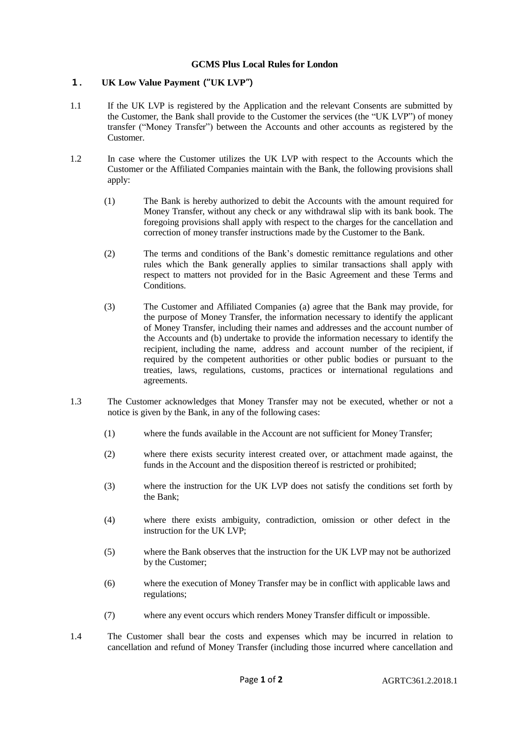## **GCMS Plus Local Rules for London**

## **1. UK Low Value Payment("UK LVP")**

- 1.1 If the UK LVP is registered by the Application and the relevant Consents are submitted by the Customer, the Bank shall provide to the Customer the services (the "UK LVP") of money transfer ("Money Transfer") between the Accounts and other accounts as registered by the Customer.
- 1.2 In case where the Customer utilizes the UK LVP with respect to the Accounts which the Customer or the Affiliated Companies maintain with the Bank, the following provisions shall apply:
	- (1) The Bank is hereby authorized to debit the Accounts with the amount required for Money Transfer, without any check or any withdrawal slip with its bank book. The foregoing provisions shall apply with respect to the charges for the cancellation and correction of money transfer instructions made by the Customer to the Bank.
	- (2) The terms and conditions of the Bank's domestic remittance regulations and other rules which the Bank generally applies to similar transactions shall apply with respect to matters not provided for in the Basic Agreement and these Terms and Conditions.
	- (3) The Customer and Affiliated Companies (a) agree that the Bank may provide, for the purpose of Money Transfer, the information necessary to identify the applicant of Money Transfer, including their names and addresses and the account number of the Accounts and (b) undertake to provide the information necessary to identify the recipient, including the name, address and account number of the recipient, if required by the competent authorities or other public bodies or pursuant to the treaties, laws, regulations, customs, practices or international regulations and agreements.
- 1.3 The Customer acknowledges that Money Transfer may not be executed, whether or not a notice is given by the Bank, in any of the following cases:
	- (1) where the funds available in the Account are not sufficient for Money Transfer;
	- (2) where there exists security interest created over, or attachment made against, the funds in the Account and the disposition thereof is restricted or prohibited;
	- (3) where the instruction for the UK LVP does not satisfy the conditions set forth by the Bank;
	- (4) where there exists ambiguity, contradiction, omission or other defect in the instruction for the UK LVP;
	- (5) where the Bank observes that the instruction for the UK LVP may not be authorized by the Customer;
	- (6) where the execution of Money Transfer may be in conflict with applicable laws and regulations;
	- (7) where any event occurs which renders Money Transfer difficult or impossible.
- 1.4 The Customer shall bear the costs and expenses which may be incurred in relation to cancellation and refund of Money Transfer (including those incurred where cancellation and